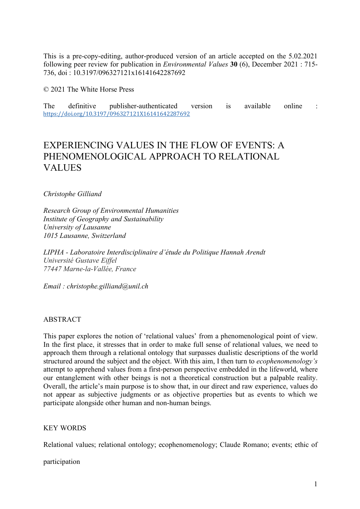This is a pre-copy-editing, author-produced version of an article accepted on the 5.02.2021 following peer review for publication in *Environmental Values* **30** (6), December 2021 : 715- 736, doi : 10.3197/096327121x16141642287692

© 2021 The White Horse Press

The definitive publisher-authenticated version is available online : https://doi.org/10.3197/096327121X16141642287692

## EXPERIENCING VALUES IN THE FLOW OF EVENTS: A PHENOMENOLOGICAL APPROACH TO RELATIONAL **VALUES**

*Christophe Gilliand* 

*Research Group of Environmental Humanities Institute of Geography and Sustainability University of Lausanne 1015 Lausanne, Switzerland* 

*LIPHA - Laboratoire Interdisciplinaire d'étude du Politique Hannah Arendt Université Gustave Eiffel 77447 Marne-la-Vallée, France*

*Email : christophe.gilliand@unil.ch*

### ABSTRACT

This paper explores the notion of 'relational values' from a phenomenological point of view. In the first place, it stresses that in order to make full sense of relational values, we need to approach them through a relational ontology that surpasses dualistic descriptions of the world structured around the subject and the object. With this aim, I then turn to *ecophenomenology's* attempt to apprehend values from a first-person perspective embedded in the lifeworld, where our entanglement with other beings is not a theoretical construction but a palpable reality. Overall, the article's main purpose is to show that, in our direct and raw experience, values do not appear as subjective judgments or as objective properties but as events to which we participate alongside other human and non-human beings.

## KEY WORDS

Relational values; relational ontology; ecophenomenology; Claude Romano; events; ethic of

participation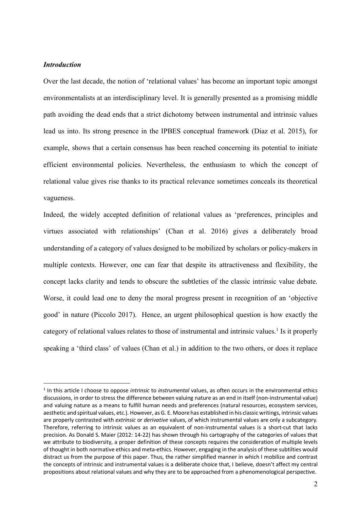### *Introduction*

 $\overline{a}$ 

Over the last decade, the notion of 'relational values' has become an important topic amongst environmentalists at an interdisciplinary level. It is generally presented as a promising middle path avoiding the dead ends that a strict dichotomy between instrumental and intrinsic values lead us into. Its strong presence in the IPBES conceptual framework (Diaz et al. 2015), for example, shows that a certain consensus has been reached concerning its potential to initiate efficient environmental policies. Nevertheless, the enthusiasm to which the concept of relational value gives rise thanks to its practical relevance sometimes conceals its theoretical vagueness.

Indeed, the widely accepted definition of relational values as 'preferences, principles and virtues associated with relationships' (Chan et al. 2016) gives a deliberately broad understanding of a category of values designed to be mobilized by scholars or policy-makers in multiple contexts. However, one can fear that despite its attractiveness and flexibility, the concept lacks clarity and tends to obscure the subtleties of the classic intrinsic value debate. Worse, it could lead one to deny the moral progress present in recognition of an 'objective good' in nature (Piccolo 2017). Hence, an urgent philosophical question is how exactly the category of relational values relates to those of instrumental and intrinsic values.<sup>1</sup> Is it properly speaking a 'third class' of values (Chan et al.) in addition to the two others, or does it replace

<sup>1</sup> In this article I choose to oppose *intrinsic* to *instrumental* values, as often occurs in the environmental ethics discussions, in order to stress the difference between valuing nature as an end in itself (non-instrumental value) and valuing nature as a means to fulfill human needs and preferences (natural resources, ecosystem services, aesthetic and spiritual values, etc.). However, as G. E. Moore has established in his classic writings, intrinsic values are properly contrasted with *extrinsic* or *derivative* values, of which instrumental values are only a subcategory. Therefore, referring to intrinsic values as an equivalent of non-instrumental values is a short-cut that lacks precision. As Donald S. Maier (2012: 14-22) has shown through his cartography of the categories of values that we attribute to biodiversity, a proper definition of these concepts requires the consideration of multiple levels of thought in both normative ethics and meta-ethics. However, engaging in the analysis of these subtilties would distract us from the purpose of this paper. Thus, the rather simplified manner in which I mobilize and contrast the concepts of intrinsic and instrumental values is a deliberate choice that, I believe, doesn't affect my central propositions about relational values and why they are to be approached from a phenomenological perspective.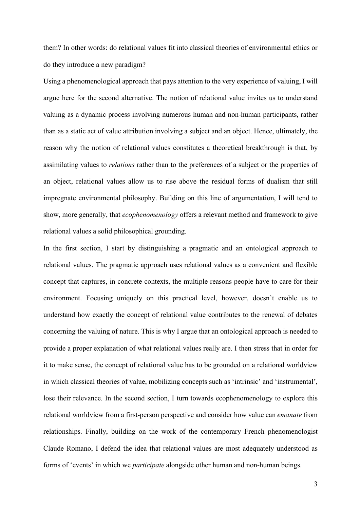them? In other words: do relational values fit into classical theories of environmental ethics or do they introduce a new paradigm?

Using a phenomenological approach that pays attention to the very experience of valuing, I will argue here for the second alternative. The notion of relational value invites us to understand valuing as a dynamic process involving numerous human and non-human participants, rather than as a static act of value attribution involving a subject and an object. Hence, ultimately, the reason why the notion of relational values constitutes a theoretical breakthrough is that, by assimilating values to *relations* rather than to the preferences of a subject or the properties of an object, relational values allow us to rise above the residual forms of dualism that still impregnate environmental philosophy. Building on this line of argumentation, I will tend to show, more generally, that *ecophenomenology* offers a relevant method and framework to give relational values a solid philosophical grounding.

In the first section, I start by distinguishing a pragmatic and an ontological approach to relational values. The pragmatic approach uses relational values as a convenient and flexible concept that captures, in concrete contexts, the multiple reasons people have to care for their environment. Focusing uniquely on this practical level, however, doesn't enable us to understand how exactly the concept of relational value contributes to the renewal of debates concerning the valuing of nature. This is why I argue that an ontological approach is needed to provide a proper explanation of what relational values really are. I then stress that in order for it to make sense, the concept of relational value has to be grounded on a relational worldview in which classical theories of value, mobilizing concepts such as 'intrinsic' and 'instrumental', lose their relevance. In the second section, I turn towards ecophenomenology to explore this relational worldview from a first-person perspective and consider how value can *emanate* from relationships. Finally, building on the work of the contemporary French phenomenologist Claude Romano, I defend the idea that relational values are most adequately understood as forms of 'events' in which we *participate* alongside other human and non-human beings.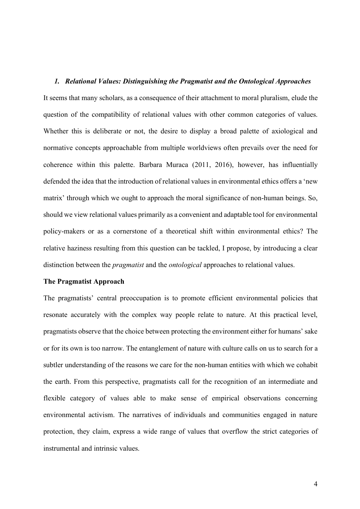#### *1. Relational Values: Distinguishing the Pragmatist and the Ontological Approaches*

It seems that many scholars, as a consequence of their attachment to moral pluralism, elude the question of the compatibility of relational values with other common categories of values. Whether this is deliberate or not, the desire to display a broad palette of axiological and normative concepts approachable from multiple worldviews often prevails over the need for coherence within this palette. Barbara Muraca (2011, 2016), however, has influentially defended the idea that the introduction of relational values in environmental ethics offers a 'new matrix' through which we ought to approach the moral significance of non-human beings. So, should we view relational values primarily as a convenient and adaptable tool for environmental policy-makers or as a cornerstone of a theoretical shift within environmental ethics? The relative haziness resulting from this question can be tackled, I propose, by introducing a clear distinction between the *pragmatist* and the *ontological* approaches to relational values.

### **The Pragmatist Approach**

The pragmatists' central preoccupation is to promote efficient environmental policies that resonate accurately with the complex way people relate to nature. At this practical level, pragmatists observe that the choice between protecting the environment either for humans' sake or for its own is too narrow. The entanglement of nature with culture calls on us to search for a subtler understanding of the reasons we care for the non-human entities with which we cohabit the earth. From this perspective, pragmatists call for the recognition of an intermediate and flexible category of values able to make sense of empirical observations concerning environmental activism. The narratives of individuals and communities engaged in nature protection, they claim, express a wide range of values that overflow the strict categories of instrumental and intrinsic values.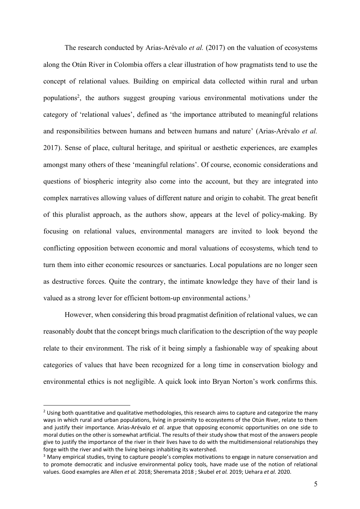The research conducted by Arias-Arévalo *et al.* (2017) on the valuation of ecosystems along the Otún River in Colombia offers a clear illustration of how pragmatists tend to use the concept of relational values. Building on empirical data collected within rural and urban populations<sup>2</sup>, the authors suggest grouping various environmental motivations under the category of 'relational values', defined as 'the importance attributed to meaningful relations and responsibilities between humans and between humans and nature' (Arias-Arévalo *et al.* 2017). Sense of place, cultural heritage, and spiritual or aesthetic experiences, are examples amongst many others of these 'meaningful relations'. Of course, economic considerations and questions of biospheric integrity also come into the account, but they are integrated into complex narratives allowing values of different nature and origin to cohabit. The great benefit of this pluralist approach, as the authors show, appears at the level of policy-making. By focusing on relational values, environmental managers are invited to look beyond the conflicting opposition between economic and moral valuations of ecosystems, which tend to turn them into either economic resources or sanctuaries. Local populations are no longer seen as destructive forces. Quite the contrary, the intimate knowledge they have of their land is valued as a strong lever for efficient bottom-up environmental actions.<sup>3</sup>

However, when considering this broad pragmatist definition of relational values, we can reasonably doubt that the concept brings much clarification to the description of the way people relate to their environment. The risk of it being simply a fashionable way of speaking about categories of values that have been recognized for a long time in conservation biology and environmental ethics is not negligible. A quick look into Bryan Norton's work confirms this.

 $<sup>2</sup>$  Using both quantitative and qualitative methodologies, this research aims to capture and categorize the many</sup> ways in which rural and urban populations, living in proximity to ecosystems of the Otún River, relate to them and justify their importance. Arias-Arévalo *et al.* argue that opposing economic opportunities on one side to moral duties on the other is somewhat artificial. The results of their study show that most of the answers people give to justify the importance of the river in their lives have to do with the multidimensional relationships they forge with the river and with the living beings inhabiting its watershed.

<sup>&</sup>lt;sup>3</sup> Many empirical studies, trying to capture people's complex motivations to engage in nature conservation and to promote democratic and inclusive environmental policy tools, have made use of the notion of relational values. Good examples are Allen *et al.* 2018; Sheremata 2018 ; Skubel *et al.* 2019; Uehara *et al.* 2020.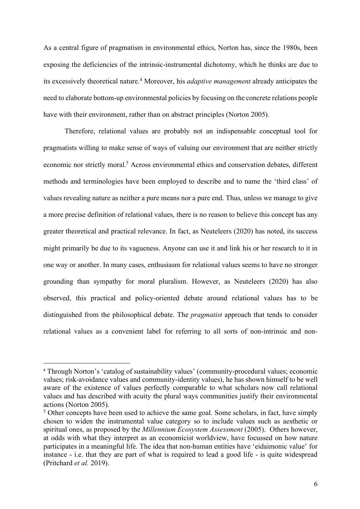As a central figure of pragmatism in environmental ethics, Norton has, since the 1980s, been exposing the deficiencies of the intrinsic-instrumental dichotomy, which he thinks are due to its excessively theoretical nature.4 Moreover, his *adaptive management* already anticipates the need to elaborate bottom-up environmental policies by focusing on the concrete relations people have with their environment, rather than on abstract principles (Norton 2005).

Therefore, relational values are probably not an indispensable conceptual tool for pragmatists willing to make sense of ways of valuing our environment that are neither strictly economic nor strictly moral.<sup>5</sup> Across environmental ethics and conservation debates, different methods and terminologies have been employed to describe and to name the 'third class' of values revealing nature as neither a pure means nor a pure end. Thus, unless we manage to give a more precise definition of relational values, there is no reason to believe this concept has any greater theoretical and practical relevance. In fact, as Neuteleers (2020) has noted, its success might primarily be due to its vagueness. Anyone can use it and link his or her research to it in one way or another. In many cases, enthusiasm for relational values seems to have no stronger grounding than sympathy for moral pluralism. However, as Neuteleers (2020) has also observed, this practical and policy-oriented debate around relational values has to be distinguished from the philosophical debate. The *pragmatist* approach that tends to consider relational values as a convenient label for referring to all sorts of non-intrinsic and non-

<sup>4</sup> Through Norton's 'catalog of sustainability values' (community-procedural values; economic values; risk-avoidance values and community-identity values), he has shown himself to be well aware of the existence of values perfectly comparable to what scholars now call relational values and has described with acuity the plural ways communities justify their environmental actions (Norton 2005).

<sup>&</sup>lt;sup>5</sup> Other concepts have been used to achieve the same goal. Some scholars, in fact, have simply chosen to widen the instrumental value category so to include values such as aesthetic or spiritual ones, as proposed by the *Millennium Ecosystem Assessment* (2005). Others however, at odds with what they interpret as an economicist worldview, have focussed on how nature participates in a meaningful life. The idea that non-human entities have 'eidaimonic value' for instance - i.e. that they are part of what is required to lead a good life - is quite widespread (Pritchard *et al.* 2019).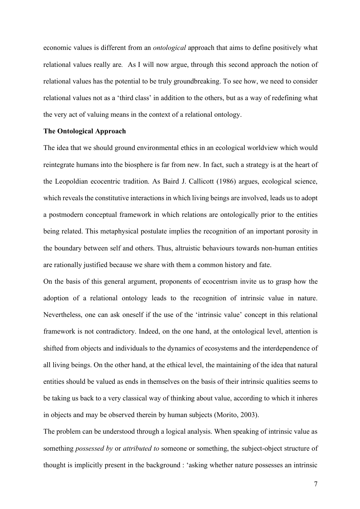economic values is different from an *ontological* approach that aims to define positively what relational values really are*.* As I will now argue, through this second approach the notion of relational values has the potential to be truly groundbreaking. To see how, we need to consider relational values not as a 'third class' in addition to the others, but as a way of redefining what the very act of valuing means in the context of a relational ontology.

### **The Ontological Approach**

The idea that we should ground environmental ethics in an ecological worldview which would reintegrate humans into the biosphere is far from new. In fact, such a strategy is at the heart of the Leopoldian ecocentric tradition. As Baird J. Callicott (1986) argues, ecological science, which reveals the constitutive interactions in which living beings are involved, leads us to adopt a postmodern conceptual framework in which relations are ontologically prior to the entities being related. This metaphysical postulate implies the recognition of an important porosity in the boundary between self and others. Thus, altruistic behaviours towards non-human entities are rationally justified because we share with them a common history and fate.

On the basis of this general argument, proponents of ecocentrism invite us to grasp how the adoption of a relational ontology leads to the recognition of intrinsic value in nature. Nevertheless, one can ask oneself if the use of the 'intrinsic value' concept in this relational framework is not contradictory. Indeed, on the one hand, at the ontological level, attention is shifted from objects and individuals to the dynamics of ecosystems and the interdependence of all living beings. On the other hand, at the ethical level, the maintaining of the idea that natural entities should be valued as ends in themselves on the basis of their intrinsic qualities seems to be taking us back to a very classical way of thinking about value, according to which it inheres in objects and may be observed therein by human subjects (Morito, 2003).

The problem can be understood through a logical analysis. When speaking of intrinsic value as something *possessed by* or *attributed to* someone or something, the subject-object structure of thought is implicitly present in the background : 'asking whether nature possesses an intrinsic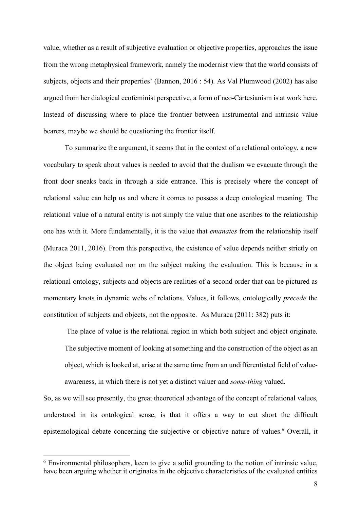value, whether as a result of subjective evaluation or objective properties, approaches the issue from the wrong metaphysical framework, namely the modernist view that the world consists of subjects, objects and their properties' (Bannon, 2016 : 54). As Val Plumwood (2002) has also argued from her dialogical ecofeminist perspective, a form of neo-Cartesianism is at work here. Instead of discussing where to place the frontier between instrumental and intrinsic value bearers, maybe we should be questioning the frontier itself.

To summarize the argument, it seems that in the context of a relational ontology, a new vocabulary to speak about values is needed to avoid that the dualism we evacuate through the front door sneaks back in through a side entrance. This is precisely where the concept of relational value can help us and where it comes to possess a deep ontological meaning. The relational value of a natural entity is not simply the value that one ascribes to the relationship one has with it. More fundamentally, it is the value that *emanates* from the relationship itself (Muraca 2011, 2016). From this perspective, the existence of value depends neither strictly on the object being evaluated nor on the subject making the evaluation. This is because in a relational ontology, subjects and objects are realities of a second order that can be pictured as momentary knots in dynamic webs of relations. Values, it follows, ontologically *precede* the constitution of subjects and objects, not the opposite. As Muraca (2011: 382) puts it:

The place of value is the relational region in which both subject and object originate. The subjective moment of looking at something and the construction of the object as an object, which is looked at, arise at the same time from an undifferentiated field of valueawareness, in which there is not yet a distinct valuer and *some-thing* valued.

So, as we will see presently, the great theoretical advantage of the concept of relational values, understood in its ontological sense, is that it offers a way to cut short the difficult epistemological debate concerning the subjective or objective nature of values.<sup>6</sup> Overall, it

 <sup>6</sup> Environmental philosophers, keen to give a solid grounding to the notion of intrinsic value, have been arguing whether it originates in the objective characteristics of the evaluated entities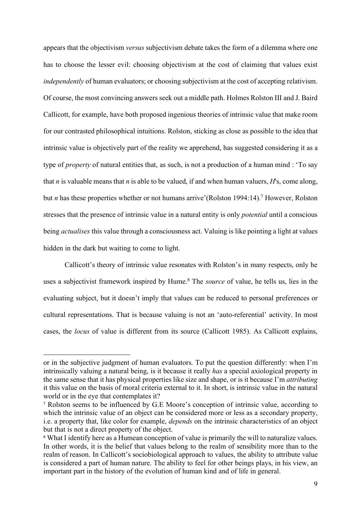appears that the objectivism *versus* subjectivism debate takes the form of a dilemma where one has to choose the lesser evil: choosing objectivism at the cost of claiming that values exist *independently* of human evaluators; or choosing subjectivism at the cost of accepting relativism. Of course, the most convincing answers seek out a middle path. Holmes Rolston III and J. Baird Callicott, for example, have both proposed ingenious theories of intrinsic value that make room for our contrasted philosophical intuitions. Rolston, sticking as close as possible to the idea that intrinsic value is objectively part of the reality we apprehend, has suggested considering it as a type of *property* of natural entities that, as such, is not a production of a human mind : 'To say that *n* is valuable means that *n* is able to be valued, if and when human valuers, *H*'s, come along, but *n* has these properties whether or not humans arrive'(Rolston 1994:14).<sup>7</sup> However, Rolston stresses that the presence of intrinsic value in a natural entity is only *potential* until a conscious being *actualises* this value through a consciousness act. Valuing is like pointing a light at values hidden in the dark but waiting to come to light.

Callicott's theory of intrinsic value resonates with Rolston's in many respects, only he uses a subjectivist framework inspired by Hume.<sup>8</sup> The *source* of value, he tells us, lies in the evaluating subject, but it doesn't imply that values can be reduced to personal preferences or cultural representations. That is because valuing is not an 'auto-referential' activity. In most cases, the *locus* of value is different from its source (Callicott 1985). As Callicott explains,

or in the subjective judgment of human evaluators. To put the question differently: when I'm intrinsically valuing a natural being, is it because it really *has* a special axiological property in the same sense that it has physical properties like size and shape, or is it because I'm *attributing* it this value on the basis of moral criteria external to it. In short, is intrinsic value in the natural world or in the eye that contemplates it?

<sup>7</sup> Rolston seems to be influenced by G.E Moore's conception of intrinsic value, according to which the intrinsic value of an object can be considered more or less as a secondary property, i.e. a property that, like color for example, *depends* on the intrinsic characteristics of an object but that is not a direct property of the object.

<sup>&</sup>lt;sup>8</sup> What I identify here as a Humean conception of value is primarily the will to naturalize values. In other words, it is the belief that values belong to the realm of sensibility more than to the realm of reason. In Callicott's sociobiological approach to values, the ability to attribute value is considered a part of human nature. The ability to feel for other beings plays, in his view, an important part in the history of the evolution of human kind and of life in general.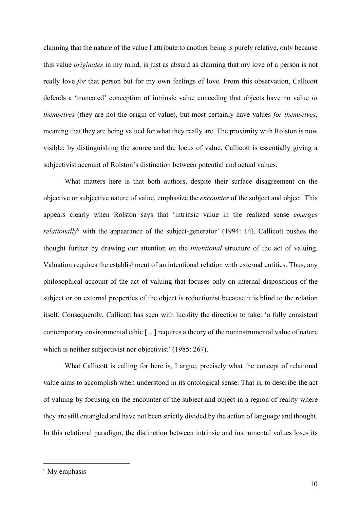claiming that the nature of the value I attribute to another being is purely relative, only because this value *originates* in my mind, is just as absurd as claiming that my love of a person is not really love *for* that person but for my own feelings of love. From this observation, Callicott defends a 'truncated' conception of intrinsic value conceding that objects have no value *in themselves* (they are not the origin of value), but most certainly have values *for themselves*, meaning that they are being valued for what they really are. The proximity with Rolston is now visible: by distinguishing the source and the locus of value, Callicott is essentially giving a subjectivist account of Rolston's distinction between potential and actual values.

What matters here is that both authors, despite their surface disagreement on the objective or subjective nature of value, emphasize the *encounter* of the subject and object. This appears clearly when Rolston says that 'intrinsic value in the realized sense *emerges relationally*<sup>9</sup> with the appearance of the subject-generator' (1994: 14). Callicott pushes the thought further by drawing our attention on the *intentional* structure of the act of valuing. Valuation requires the establishment of an intentional relation with external entities. Thus, any philosophical account of the act of valuing that focuses only on internal dispositions of the subject or on external properties of the object is reductionist because it is blind to the relation itself. Consequently, Callicott has seen with lucidity the direction to take: 'a fully consistent contemporary environmental ethic […] requires a theory of the noninstrumental value of nature which is neither subjectivist nor objectivist' (1985: 267).

What Callicott is calling for here is, I argue, precisely what the concept of relational value aims to accomplish when understood in its ontological sense. That is, to describe the act of valuing by focusing on the encounter of the subject and object in a region of reality where they are still entangled and have not been strictly divided by the action of language and thought. In this relational paradigm, the distinction between intrinsic and instrumental values loses its

<sup>&</sup>lt;sup>9</sup> My emphasis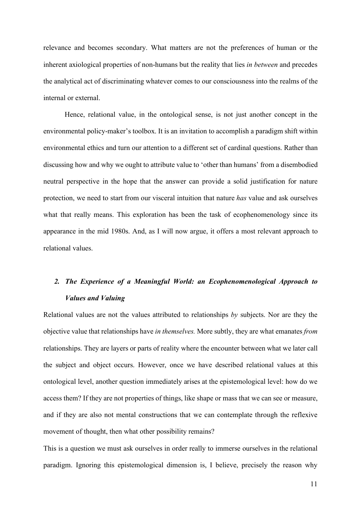relevance and becomes secondary. What matters are not the preferences of human or the inherent axiological properties of non-humans but the reality that lies *in between* and precedes the analytical act of discriminating whatever comes to our consciousness into the realms of the internal or external.

Hence, relational value, in the ontological sense, is not just another concept in the environmental policy-maker's toolbox. It is an invitation to accomplish a paradigm shift within environmental ethics and turn our attention to a different set of cardinal questions. Rather than discussing how and why we ought to attribute value to 'other than humans' from a disembodied neutral perspective in the hope that the answer can provide a solid justification for nature protection, we need to start from our visceral intuition that nature *has* value and ask ourselves what that really means. This exploration has been the task of ecophenomenology since its appearance in the mid 1980s. And, as I will now argue, it offers a most relevant approach to relational values.

# *2. The Experience of a Meaningful World: an Ecophenomenological Approach to Values and Valuing*

Relational values are not the values attributed to relationships *by* subjects. Nor are they the objective value that relationships have *in themselves.* More subtly, they are what emanates *from*  relationships. They are layers or parts of reality where the encounter between what we later call the subject and object occurs. However, once we have described relational values at this ontological level, another question immediately arises at the epistemological level: how do we access them? If they are not properties of things, like shape or mass that we can see or measure, and if they are also not mental constructions that we can contemplate through the reflexive movement of thought, then what other possibility remains?

This is a question we must ask ourselves in order really to immerse ourselves in the relational paradigm. Ignoring this epistemological dimension is, I believe, precisely the reason why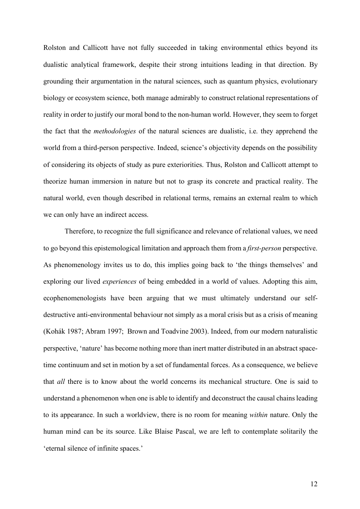Rolston and Callicott have not fully succeeded in taking environmental ethics beyond its dualistic analytical framework, despite their strong intuitions leading in that direction. By grounding their argumentation in the natural sciences, such as quantum physics, evolutionary biology or ecosystem science, both manage admirably to construct relational representations of reality in order to justify our moral bond to the non-human world. However, they seem to forget the fact that the *methodologies* of the natural sciences are dualistic, i.e. they apprehend the world from a third-person perspective. Indeed, science's objectivity depends on the possibility of considering its objects of study as pure exteriorities. Thus, Rolston and Callicott attempt to theorize human immersion in nature but not to grasp its concrete and practical reality. The natural world, even though described in relational terms, remains an external realm to which we can only have an indirect access.

Therefore, to recognize the full significance and relevance of relational values, we need to go beyond this epistemological limitation and approach them from a *first-person* perspective. As phenomenology invites us to do, this implies going back to 'the things themselves' and exploring our lived *experiences* of being embedded in a world of values. Adopting this aim, ecophenomenologists have been arguing that we must ultimately understand our selfdestructive anti-environmental behaviour not simply as a moral crisis but as a crisis of meaning (Kohák 1987; Abram 1997; Brown and Toadvine 2003). Indeed, from our modern naturalistic perspective, 'nature' has become nothing more than inert matter distributed in an abstract spacetime continuum and set in motion by a set of fundamental forces. As a consequence, we believe that *all* there is to know about the world concerns its mechanical structure. One is said to understand a phenomenon when one is able to identify and deconstruct the causal chains leading to its appearance. In such a worldview, there is no room for meaning *within* nature. Only the human mind can be its source. Like Blaise Pascal, we are left to contemplate solitarily the 'eternal silence of infinite spaces.'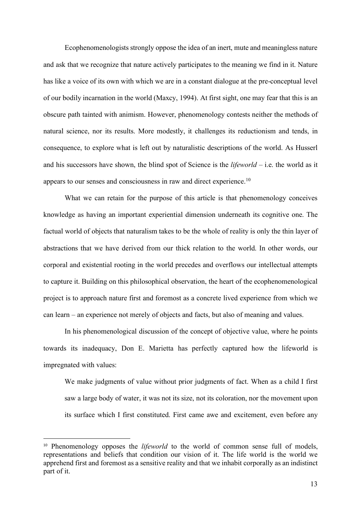Ecophenomenologists strongly oppose the idea of an inert, mute and meaningless nature and ask that we recognize that nature actively participates to the meaning we find in it. Nature has like a voice of its own with which we are in a constant dialogue at the pre-conceptual level of our bodily incarnation in the world (Maxcy, 1994). At first sight, one may fear that this is an obscure path tainted with animism. However, phenomenology contests neither the methods of natural science, nor its results. More modestly, it challenges its reductionism and tends, in consequence, to explore what is left out by naturalistic descriptions of the world. As Husserl and his successors have shown, the blind spot of Science is the *lifeworld* – i.e. the world as it appears to our senses and consciousness in raw and direct experience.10

What we can retain for the purpose of this article is that phenomenology conceives knowledge as having an important experiential dimension underneath its cognitive one. The factual world of objects that naturalism takes to be the whole of reality is only the thin layer of abstractions that we have derived from our thick relation to the world. In other words, our corporal and existential rooting in the world precedes and overflows our intellectual attempts to capture it. Building on this philosophical observation, the heart of the ecophenomenological project is to approach nature first and foremost as a concrete lived experience from which we can learn – an experience not merely of objects and facts, but also of meaning and values.

In his phenomenological discussion of the concept of objective value, where he points towards its inadequacy, Don E. Marietta has perfectly captured how the lifeworld is impregnated with values:

We make judgments of value without prior judgments of fact. When as a child I first saw a large body of water, it was not its size, not its coloration, nor the movement upon its surface which I first constituted. First came awe and excitement, even before any

<sup>&</sup>lt;sup>10</sup> Phenomenology opposes the *lifeworld* to the world of common sense full of models, representations and beliefs that condition our vision of it. The life world is the world we apprehend first and foremost as a sensitive reality and that we inhabit corporally as an indistinct part of it.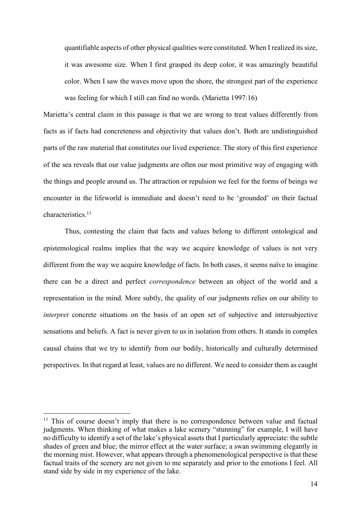quantifiable aspects of other physical qualities were constituted. When I realized its size, it was awesome size. When I first grasped its deep color, it was amazingly beautiful color. When I saw the waves move upon the shore, the strongest part of the experience was feeling for which I still can find no words. (Marietta 1997:16)

Marietta's central claim in this passage is that we are wrong to treat values differently from facts as if facts had concreteness and objectivity that values don't. Both are undistinguished parts of the raw material that constitutes our lived experience. The story of this first experience of the sea reveals that our value judgments are often our most primitive way of engaging with the things and people around us. The attraction or repulsion we feel for the forms of beings we encounter in the lifeworld is immediate and doesn't need to be 'grounded' on their factual characteristics.11

Thus, contesting the claim that facts and values belong to different ontological and epistemological realms implies that the way we acquire knowledge of values is not very different from the way we acquire knowledge of facts. In both cases, it seems naïve to imagine there can be a direct and perfect *correspondence* between an object of the world and a representation in the mind. More subtly, the quality of our judgments relies on our ability to *interpret* concrete situations on the basis of an open set of subjective and intersubjective sensations and beliefs. A fact is never given to us in isolation from others. It stands in complex causal chains that we try to identify from our bodily, historically and culturally determined perspectives. In that regard at least, values are no different. We need to consider them as caught

 $11$  This of course doesn't imply that there is no correspondence between value and factual judgments. When thinking of what makes a lake scenery "stunning" for example, I will have no difficulty to identify a set of the lake's physical assets that I particularly appreciate: the subtle shades of green and blue; the mirror effect at the water surface; a swan swimming elegantly in the morning mist. However, what appears through a phenomenological perspective is that these factual traits of the scenery are not given to me separately and prior to the emotions I feel. All stand side by side in my experience of the lake.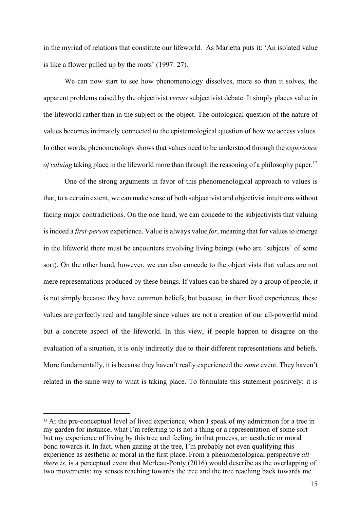in the myriad of relations that constitute our lifeworld. As Marietta puts it: 'An isolated value is like a flower pulled up by the roots' (1997: 27).

We can now start to see how phenomenology dissolves, more so than it solves, the apparent problems raised by the objectivist *versus* subjectivist debate. It simply places value in the lifeworld rather than in the subject or the object. The ontological question of the nature of values becomes intimately connected to the epistemological question of how we access values*.*  In other words, phenomenology shows that values need to be understood through the *experience of valuing taking place in the lifeworld more than through the reasoning of a philosophy paper.*<sup>12</sup>

One of the strong arguments in favor of this phenomenological approach to values is that, to a certain extent, we can make sense of both subjectivist and objectivist intuitions without facing major contradictions. On the one hand, we can concede to the subjectivists that valuing is indeed a *first-person* experience. Value is always value *for*, meaning that for values to emerge in the lifeworld there must be encounters involving living beings (who are 'subjects' of some sort). On the other hand, however, we can also concede to the objectivists that values are not mere representations produced by these beings. If values can be shared by a group of people, it is not simply because they have common beliefs, but because, in their lived experiences, these values are perfectly real and tangible since values are not a creation of our all-powerful mind but a concrete aspect of the lifeworld. In this view, if people happen to disagree on the evaluation of a situation, it is only indirectly due to their different representations and beliefs. More fundamentally, it is because they haven't really experienced the *same* event. They haven't related in the same way to what is taking place. To formulate this statement positively: it is

<sup>&</sup>lt;sup>12</sup> At the pre-conceptual level of lived experience, when I speak of my admiration for a tree in my garden for instance, what I'm referring to is not a thing or a representation of some sort but my experience of living by this tree and feeling, in that process, an aesthetic or moral bond towards it. In fact, when gazing at the tree, I'm probably not even qualifying this experience as aesthetic or moral in the first place. From a phenomenological perspective *all there is*, is a perceptual event that Merleau-Ponty (2016) would describe as the overlapping of two movements: my senses reaching towards the tree and the tree reaching back towards me.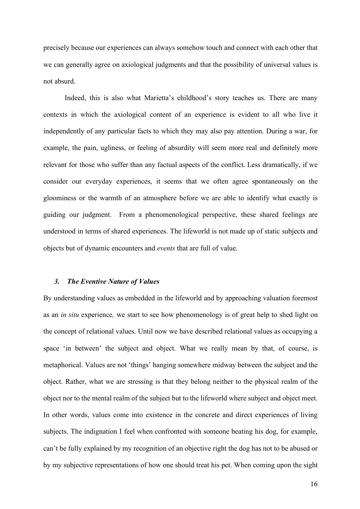precisely because our experiences can always somehow touch and connect with each other that we can generally agree on axiological judgments and that the possibility of universal values is not absurd.

Indeed, this is also what Marietta's childhood's story teaches us. There are many contexts in which the axiological content of an experience is evident to all who live it independently of any particular facts to which they may also pay attention. During a war, for example, the pain, ugliness, or feeling of absurdity will seem more real and definitely more relevant for those who suffer than any factual aspects of the conflict. Less dramatically, if we consider our everyday experiences, it seems that we often agree spontaneously on the gloominess or the warmth of an atmosphere before we are able to identify what exactly is guiding our judgment. From a phenomenological perspective, these shared feelings are understood in terms of shared experiences. The lifeworld is not made up of static subjects and objects but of dynamic encounters and *events* that are full of value.

### *3. The Eventive Nature of Values*

By understanding values as embedded in the lifeworld and by approaching valuation foremost as an *in situ* experience*,* we start to see how phenomenology is of great help to shed light on the concept of relational values. Until now we have described relational values as occupying a space 'in between' the subject and object. What we really mean by that, of course, is metaphorical. Values are not 'things' hanging somewhere midway between the subject and the object. Rather, what we are stressing is that they belong neither to the physical realm of the object nor to the mental realm of the subject but to the lifeworld where subject and object meet. In other words, values come into existence in the concrete and direct experiences of living subjects. The indignation I feel when confronted with someone beating his dog, for example, can't be fully explained by my recognition of an objective right the dog has not to be abused or by my subjective representations of how one should treat his pet. When coming upon the sight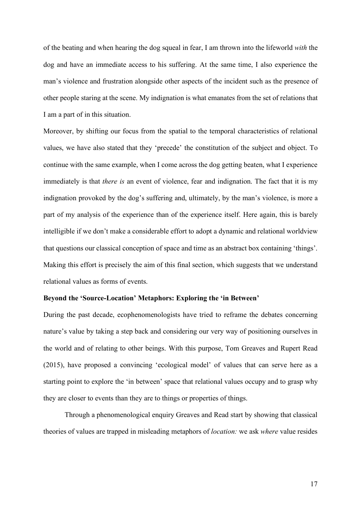of the beating and when hearing the dog squeal in fear, I am thrown into the lifeworld *with* the dog and have an immediate access to his suffering. At the same time, I also experience the man's violence and frustration alongside other aspects of the incident such as the presence of other people staring at the scene. My indignation is what emanates from the set of relations that I am a part of in this situation.

Moreover, by shifting our focus from the spatial to the temporal characteristics of relational values, we have also stated that they 'precede' the constitution of the subject and object. To continue with the same example, when I come across the dog getting beaten, what I experience immediately is that *there is* an event of violence, fear and indignation. The fact that it is my indignation provoked by the dog's suffering and, ultimately, by the man's violence, is more a part of my analysis of the experience than of the experience itself. Here again, this is barely intelligible if we don't make a considerable effort to adopt a dynamic and relational worldview that questions our classical conception of space and time as an abstract box containing 'things'. Making this effort is precisely the aim of this final section, which suggests that we understand relational values as forms of events.

### **Beyond the 'Source-Location' Metaphors: Exploring the 'in Between'**

During the past decade, ecophenomenologists have tried to reframe the debates concerning nature's value by taking a step back and considering our very way of positioning ourselves in the world and of relating to other beings. With this purpose, Tom Greaves and Rupert Read (2015), have proposed a convincing 'ecological model' of values that can serve here as a starting point to explore the 'in between' space that relational values occupy and to grasp why they are closer to events than they are to things or properties of things.

Through a phenomenological enquiry Greaves and Read start by showing that classical theories of values are trapped in misleading metaphors of *location:* we ask *where* value resides

17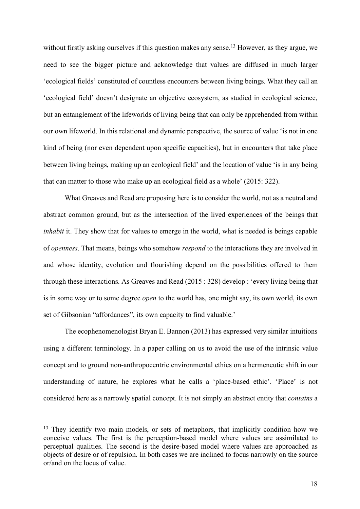without firstly asking ourselves if this question makes any sense.<sup>13</sup> However, as they argue, we need to see the bigger picture and acknowledge that values are diffused in much larger 'ecological fields' constituted of countless encounters between living beings. What they call an 'ecological field' doesn't designate an objective ecosystem, as studied in ecological science, but an entanglement of the lifeworlds of living being that can only be apprehended from within our own lifeworld. In this relational and dynamic perspective, the source of value 'is not in one kind of being (nor even dependent upon specific capacities), but in encounters that take place between living beings, making up an ecological field' and the location of value 'is in any being that can matter to those who make up an ecological field as a whole' (2015: 322).

What Greaves and Read are proposing here is to consider the world, not as a neutral and abstract common ground, but as the intersection of the lived experiences of the beings that *inhabit* it. They show that for values to emerge in the world, what is needed is beings capable of *openness*. That means, beings who somehow *respond* to the interactions they are involved in and whose identity, evolution and flourishing depend on the possibilities offered to them through these interactions. As Greaves and Read (2015 : 328) develop : 'every living being that is in some way or to some degree *open* to the world has, one might say, its own world, its own set of Gibsonian "affordances", its own capacity to find valuable.'

The ecophenomenologist Bryan E. Bannon (2013) has expressed very similar intuitions using a different terminology. In a paper calling on us to avoid the use of the intrinsic value concept and to ground non-anthropocentric environmental ethics on a hermeneutic shift in our understanding of nature, he explores what he calls a 'place-based ethic'. 'Place' is not considered here as a narrowly spatial concept. It is not simply an abstract entity that *contains* a

<sup>&</sup>lt;sup>13</sup> They identify two main models, or sets of metaphors, that implicitly condition how we conceive values. The first is the perception-based model where values are assimilated to perceptual qualities. The second is the desire-based model where values are approached as objects of desire or of repulsion. In both cases we are inclined to focus narrowly on the source or/and on the locus of value.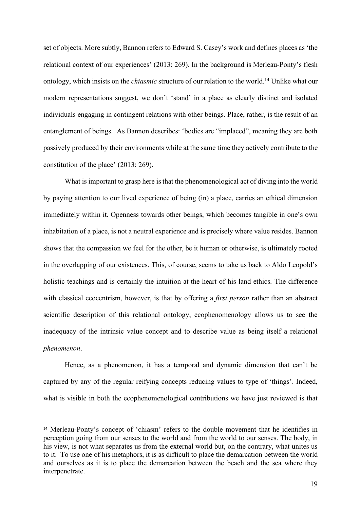set of objects. More subtly, Bannon refers to Edward S. Casey's work and defines places as 'the relational context of our experiences' (2013: 269). In the background is Merleau-Ponty's flesh ontology, which insists on the *chiasmic* structure of our relation to the world.14 Unlike what our modern representations suggest, we don't 'stand' in a place as clearly distinct and isolated individuals engaging in contingent relations with other beings. Place, rather, is the result of an entanglement of beings. As Bannon describes: 'bodies are "implaced", meaning they are both passively produced by their environments while at the same time they actively contribute to the constitution of the place' (2013: 269).

What is important to grasp here is that the phenomenological act of diving into the world by paying attention to our lived experience of being (in) a place, carries an ethical dimension immediately within it. Openness towards other beings, which becomes tangible in one's own inhabitation of a place, is not a neutral experience and is precisely where value resides. Bannon shows that the compassion we feel for the other, be it human or otherwise, is ultimately rooted in the overlapping of our existences. This, of course, seems to take us back to Aldo Leopold's holistic teachings and is certainly the intuition at the heart of his land ethics. The difference with classical ecocentrism, however, is that by offering a *first person* rather than an abstract scientific description of this relational ontology, ecophenomenology allows us to see the inadequacy of the intrinsic value concept and to describe value as being itself a relational *phenomenon*.

Hence, as a phenomenon, it has a temporal and dynamic dimension that can't be captured by any of the regular reifying concepts reducing values to type of 'things'. Indeed, what is visible in both the ecophenomenological contributions we have just reviewed is that

<sup>14</sup> Merleau-Ponty's concept of 'chiasm' refers to the double movement that he identifies in perception going from our senses to the world and from the world to our senses. The body, in his view, is not what separates us from the external world but, on the contrary, what unites us to it. To use one of his metaphors, it is as difficult to place the demarcation between the world and ourselves as it is to place the demarcation between the beach and the sea where they interpenetrate.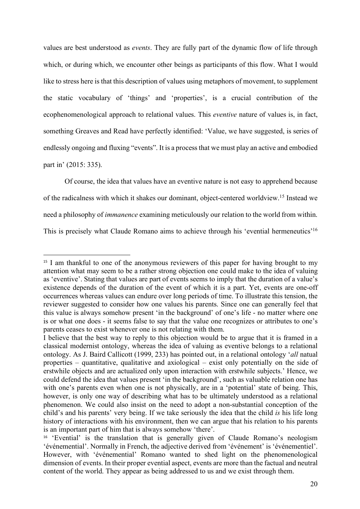values are best understood as *events*. They are fully part of the dynamic flow of life through which, or during which, we encounter other beings as participants of this flow. What I would like to stress here is that this description of values using metaphors of movement, to supplement the static vocabulary of 'things' and 'properties', is a crucial contribution of the ecophenomenological approach to relational values. This *eventive* nature of values is, in fact, something Greaves and Read have perfectly identified: 'Value, we have suggested, is series of endlessly ongoing and fluxing "events". It is a process that we must play an active and embodied part in' (2015: 335).

Of course, the idea that values have an eventive nature is not easy to apprehend because of the radicalness with which it shakes our dominant, object-centered worldview.15 Instead we need a philosophy of *immanence* examining meticulously our relation to the world from within. This is precisely what Claude Romano aims to achieve through his 'evential hermeneutics'16

<sup>&</sup>lt;sup>15</sup> I am thankful to one of the anonymous reviewers of this paper for having brought to my attention what may seem to be a rather strong objection one could make to the idea of valuing as 'eventive'. Stating that values are part of events seems to imply that the duration of a value's existence depends of the duration of the event of which it is a part. Yet, events are one-off occurrences whereas values can endure over long periods of time. To illustrate this tension, the reviewer suggested to consider how one values his parents. Since one can generally feel that this value is always somehow present 'in the background' of one's life - no matter where one is or what one does - it seems false to say that the value one recognizes or attributes to one's parents ceases to exist whenever one is not relating with them.

I believe that the best way to reply to this objection would be to argue that it is framed in a classical modernist ontology, whereas the idea of valuing as eventive belongs to a relational ontology. As J. Baird Callicott (1999, 233) has pointed out, in a relational ontology '*all* natual properties – quantitative, qualitative and axiological – exist only potentially on the side of erstwhile objects and are actualized only upon interaction with erstwhile subjects.' Hence, we could defend the idea that values present 'in the background', such as valuable relation one has with one's parents even when one is not physically, are in a 'potential' state of being. This, however, is only one way of describing what has to be ultimately understood as a relational phenomenon. We could also insist on the need to adopt a non-substantial conception of the child's and his parents' very being. If we take seriously the idea that the child *is* his life long history of interactions with his environment, then we can argue that his relation to his parents is an important part of him that is always somehow 'there'.

<sup>&</sup>lt;sup>16</sup> 'Evential' is the translation that is generally given of Claude Romano's neologism 'événemential'. Normally in French, the adjective derived from 'événement' is 'événementiel'. However, with 'événemential' Romano wanted to shed light on the phenomenological dimension of events. In their proper evential aspect, events are more than the factual and neutral content of the world. They appear as being addressed to us and we exist through them.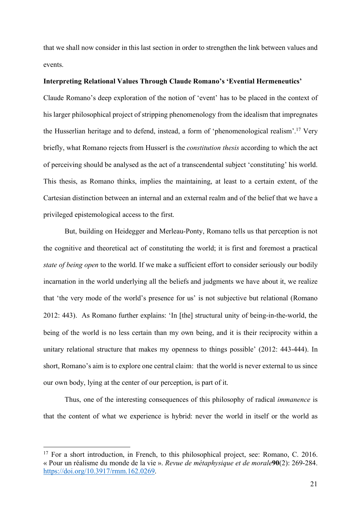that we shall now consider in this last section in order to strengthen the link between values and events.

### **Interpreting Relational Values Through Claude Romano's 'Evential Hermeneutics'**

Claude Romano's deep exploration of the notion of 'event' has to be placed in the context of his larger philosophical project of stripping phenomenology from the idealism that impregnates the Husserlian heritage and to defend, instead, a form of 'phenomenological realism'.17 Very briefly, what Romano rejects from Husserl is the *constitution thesis* according to which the act of perceiving should be analysed as the act of a transcendental subject 'constituting' his world. This thesis, as Romano thinks, implies the maintaining, at least to a certain extent, of the Cartesian distinction between an internal and an external realm and of the belief that we have a privileged epistemological access to the first.

But, building on Heidegger and Merleau-Ponty, Romano tells us that perception is not the cognitive and theoretical act of constituting the world; it is first and foremost a practical *state of being open* to the world. If we make a sufficient effort to consider seriously our bodily incarnation in the world underlying all the beliefs and judgments we have about it, we realize that 'the very mode of the world's presence for us' is not subjective but relational (Romano 2012: 443). As Romano further explains: 'In [the] structural unity of being-in-the-world, the being of the world is no less certain than my own being, and it is their reciprocity within a unitary relational structure that makes my openness to things possible' (2012: 443-444). In short, Romano's aim is to explore one central claim: that the world is never external to us since our own body, lying at the center of our perception, is part of it.

Thus, one of the interesting consequences of this philosophy of radical *immanence* is that the content of what we experience is hybrid: never the world in itself or the world as

<sup>&</sup>lt;sup>17</sup> For a short introduction, in French, to this philosophical project, see: Romano, C. 2016. « Pour un réalisme du monde de la vie ». *Revue de métaphysique et de morale***90**(2): 269-284. https://doi.org/10.3917/rmm.162.0269.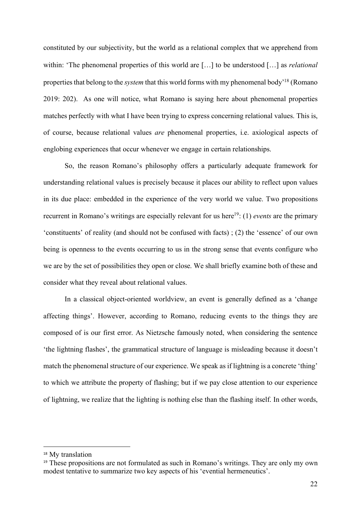constituted by our subjectivity, but the world as a relational complex that we apprehend from within: 'The phenomenal properties of this world are […] to be understood […] as *relational*  properties that belong to the *system* that this world forms with my phenomenal body'18 (Romano 2019: 202). As one will notice, what Romano is saying here about phenomenal properties matches perfectly with what I have been trying to express concerning relational values. This is, of course, because relational values *are* phenomenal properties, i.e. axiological aspects of englobing experiences that occur whenever we engage in certain relationships.

So, the reason Romano's philosophy offers a particularly adequate framework for understanding relational values is precisely because it places our ability to reflect upon values in its due place: embedded in the experience of the very world we value. Two propositions recurrent in Romano's writings are especially relevant for us here<sup>19</sup>: (1) *events* are the primary 'constituents' of reality (and should not be confused with facts) ; (2) the 'essence' of our own being is openness to the events occurring to us in the strong sense that events configure who we are by the set of possibilities they open or close. We shall briefly examine both of these and consider what they reveal about relational values.

In a classical object-oriented worldview, an event is generally defined as a 'change affecting things'. However, according to Romano, reducing events to the things they are composed of is our first error. As Nietzsche famously noted, when considering the sentence 'the lightning flashes', the grammatical structure of language is misleading because it doesn't match the phenomenal structure of our experience. We speak as if lightning is a concrete 'thing' to which we attribute the property of flashing; but if we pay close attention to our experience of lightning, we realize that the lighting is nothing else than the flashing itself. In other words,

<sup>&</sup>lt;sup>18</sup> My translation

<sup>19</sup> These propositions are not formulated as such in Romano's writings. They are only my own modest tentative to summarize two key aspects of his 'evential hermeneutics'.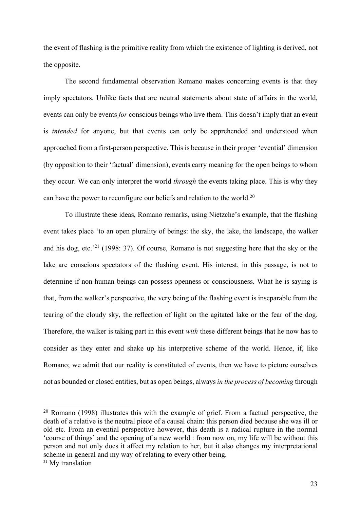the event of flashing is the primitive reality from which the existence of lighting is derived, not the opposite.

The second fundamental observation Romano makes concerning events is that they imply spectators. Unlike facts that are neutral statements about state of affairs in the world, events can only be events *for* conscious beings who live them. This doesn't imply that an event is *intended* for anyone, but that events can only be apprehended and understood when approached from a first-person perspective. This is because in their proper 'evential' dimension (by opposition to their 'factual' dimension), events carry meaning for the open beings to whom they occur. We can only interpret the world *through* the events taking place. This is why they can have the power to reconfigure our beliefs and relation to the world.20

To illustrate these ideas, Romano remarks, using Nietzche's example, that the flashing event takes place 'to an open plurality of beings: the sky, the lake, the landscape, the walker and his dog, etc.'21 (1998: 37). Of course, Romano is not suggesting here that the sky or the lake are conscious spectators of the flashing event. His interest, in this passage, is not to determine if non-human beings can possess openness or consciousness. What he is saying is that, from the walker's perspective, the very being of the flashing event is inseparable from the tearing of the cloudy sky, the reflection of light on the agitated lake or the fear of the dog. Therefore, the walker is taking part in this event *with* these different beings that he now has to consider as they enter and shake up his interpretive scheme of the world. Hence, if, like Romano; we admit that our reality is constituted of events, then we have to picture ourselves not as bounded or closed entities, but as open beings, always *in the process of becoming* through

 $20$  Romano (1998) illustrates this with the example of grief. From a factual perspective, the death of a relative is the neutral piece of a causal chain: this person died because she was ill or old etc. From an evential perspective however, this death is a radical rupture in the normal 'course of things' and the opening of a new world : from now on, my life will be without this person and not only does it affect my relation to her, but it also changes my interpretational scheme in general and my way of relating to every other being. <sup>21</sup> My translation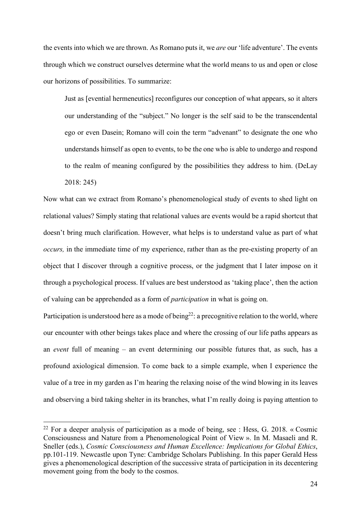the events into which we are thrown. As Romano puts it, we *are* our 'life adventure'. The events through which we construct ourselves determine what the world means to us and open or close our horizons of possibilities. To summarize:

Just as [evential hermeneutics] reconfigures our conception of what appears, so it alters our understanding of the "subject." No longer is the self said to be the transcendental ego or even Dasein; Romano will coin the term "advenant" to designate the one who understands himself as open to events, to be the one who is able to undergo and respond to the realm of meaning configured by the possibilities they address to him. (DeLay 2018: 245)

Now what can we extract from Romano's phenomenological study of events to shed light on relational values? Simply stating that relational values are events would be a rapid shortcut that doesn't bring much clarification. However, what helps is to understand value as part of what *occurs,* in the immediate time of my experience, rather than as the pre-existing property of an object that I discover through a cognitive process, or the judgment that I later impose on it through a psychological process. If values are best understood as 'taking place', then the action of valuing can be apprehended as a form of *participation* in what is going on.

Participation is understood here as a mode of being<sup>22</sup>: a precognitive relation to the world, where our encounter with other beings takes place and where the crossing of our life paths appears as an *event* full of meaning – an event determining our possible futures that, as such, has a profound axiological dimension. To come back to a simple example, when I experience the value of a tree in my garden as I'm hearing the relaxing noise of the wind blowing in its leaves and observing a bird taking shelter in its branches, what I'm really doing is paying attention to

<sup>&</sup>lt;sup>22</sup> For a deeper analysis of participation as a mode of being, see : Hess, G. 2018. « Cosmic Consciousness and Nature from a Phenomenological Point of View ». In M. Masaeli and R. Sneller (eds.), *Cosmic Consciousness and Human Excellence: Implications for Global Ethics*, pp.101-119. Newcastle upon Tyne: Cambridge Scholars Publishing. In this paper Gerald Hess gives a phenomenological description of the successive strata of participation in its decentering movement going from the body to the cosmos.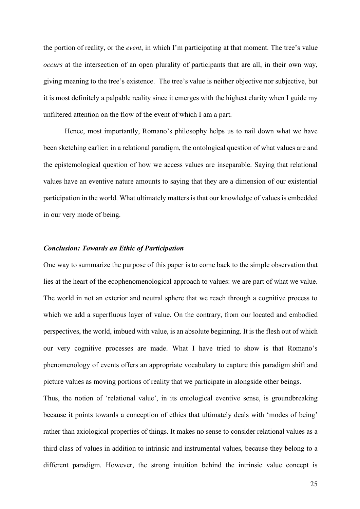the portion of reality, or the *event*, in which I'm participating at that moment. The tree's value *occurs* at the intersection of an open plurality of participants that are all, in their own way, giving meaning to the tree's existence. The tree's value is neither objective nor subjective, but it is most definitely a palpable reality since it emerges with the highest clarity when I guide my unfiltered attention on the flow of the event of which I am a part.

Hence, most importantly, Romano's philosophy helps us to nail down what we have been sketching earlier: in a relational paradigm, the ontological question of what values are and the epistemological question of how we access values are inseparable. Saying that relational values have an eventive nature amounts to saying that they are a dimension of our existential participation in the world. What ultimately matters is that our knowledge of values is embedded in our very mode of being.

### *Conclusion: Towards an Ethic of Participation*

One way to summarize the purpose of this paper is to come back to the simple observation that lies at the heart of the ecophenomenological approach to values: we are part of what we value. The world in not an exterior and neutral sphere that we reach through a cognitive process to which we add a superfluous layer of value. On the contrary, from our located and embodied perspectives, the world, imbued with value, is an absolute beginning. It is the flesh out of which our very cognitive processes are made. What I have tried to show is that Romano's phenomenology of events offers an appropriate vocabulary to capture this paradigm shift and picture values as moving portions of reality that we participate in alongside other beings.

Thus, the notion of 'relational value', in its ontological eventive sense, is groundbreaking because it points towards a conception of ethics that ultimately deals with 'modes of being' rather than axiological properties of things. It makes no sense to consider relational values as a third class of values in addition to intrinsic and instrumental values, because they belong to a different paradigm. However, the strong intuition behind the intrinsic value concept is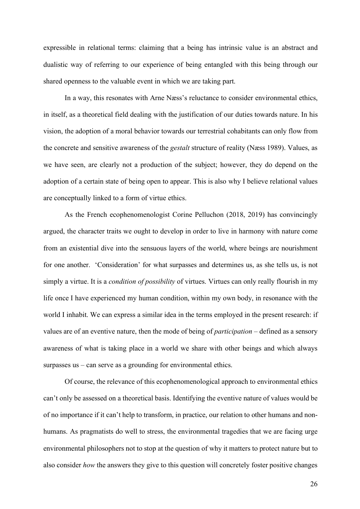expressible in relational terms: claiming that a being has intrinsic value is an abstract and dualistic way of referring to our experience of being entangled with this being through our shared openness to the valuable event in which we are taking part.

In a way, this resonates with Arne Næss's reluctance to consider environmental ethics, in itself, as a theoretical field dealing with the justification of our duties towards nature. In his vision, the adoption of a moral behavior towards our terrestrial cohabitants can only flow from the concrete and sensitive awareness of the *gestalt* structure of reality (Næss 1989). Values, as we have seen, are clearly not a production of the subject; however, they do depend on the adoption of a certain state of being open to appear. This is also why I believe relational values are conceptually linked to a form of virtue ethics.

As the French ecophenomenologist Corine Pelluchon (2018, 2019) has convincingly argued, the character traits we ought to develop in order to live in harmony with nature come from an existential dive into the sensuous layers of the world, where beings are nourishment for one another. 'Consideration' for what surpasses and determines us, as she tells us, is not simply a virtue. It is a *condition of possibility* of virtues. Virtues can only really flourish in my life once I have experienced my human condition, within my own body, in resonance with the world I inhabit. We can express a similar idea in the terms employed in the present research: if values are of an eventive nature, then the mode of being of *participation* – defined as a sensory awareness of what is taking place in a world we share with other beings and which always surpasses us – can serve as a grounding for environmental ethics.

Of course, the relevance of this ecophenomenological approach to environmental ethics can't only be assessed on a theoretical basis. Identifying the eventive nature of values would be of no importance if it can't help to transform, in practice, our relation to other humans and nonhumans. As pragmatists do well to stress, the environmental tragedies that we are facing urge environmental philosophers not to stop at the question of why it matters to protect nature but to also consider *how* the answers they give to this question will concretely foster positive changes

26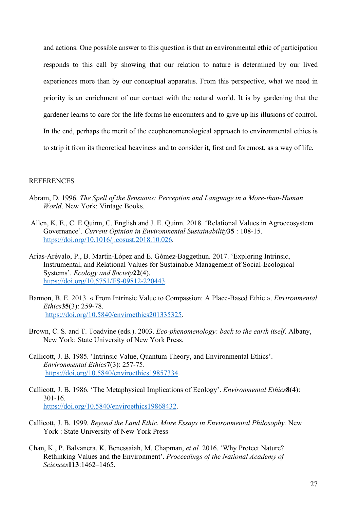and actions. One possible answer to this question is that an environmental ethic of participation responds to this call by showing that our relation to nature is determined by our lived experiences more than by our conceptual apparatus. From this perspective, what we need in priority is an enrichment of our contact with the natural world. It is by gardening that the gardener learns to care for the life forms he encounters and to give up his illusions of control. In the end, perhaps the merit of the ecophenomenological approach to environmental ethics is to strip it from its theoretical heaviness and to consider it, first and foremost, as a way of life.

### **REFERENCES**

- Abram, D. 1996. *The Spell of the Sensuous: Perception and Language in a More-than-Human World*. New York: Vintage Books.
- Allen, K. E., C. E Quinn, C. English and J. E. Quinn. 2018. 'Relational Values in Agroecosystem Governance'. *Current Opinion in Environmental Sustainability***35** : 108-15. https://doi.org/10.1016/j.cosust.2018.10.026.
- Arias-Arévalo, P., B. Martín-López and E. Gómez-Baggethun. 2017. 'Exploring Intrinsic, Instrumental, and Relational Values for Sustainable Management of Social-Ecological Systems'. *Ecology and Society***22**(4). https://doi.org/10.5751/ES-09812-220443.
- Bannon, B. E. 2013. « From Intrinsic Value to Compassion: A Place-Based Ethic ». *Environmental Ethics***35**(3): 259-78. https://doi.org/10.5840/enviroethics201335325.
- Brown, C. S. and T. Toadvine (eds.). 2003. *Eco-phenomenology: back to the earth itself*. Albany, New York: State University of New York Press.
- Callicott, J. B. 1985. 'Intrinsic Value, Quantum Theory, and Environmental Ethics'. *Environmental Ethics***7**(3): 257-75. https://doi.org/10.5840/enviroethics19857334.
- Callicott, J. B. 1986. 'The Metaphysical Implications of Ecology'. *Environmental Ethics***8**(4): 301-16. https://doi.org/10.5840/enviroethics19868432.
- Callicott, J. B. 1999. *Beyond the Land Ethic. More Essays in Environmental Philosophy.* New York : State University of New York Press
- Chan, K., P. Balvanera, K. Benessaiah, M. Chapman, *et al.* 2016. 'Why Protect Nature? Rethinking Values and the Environment'. *Proceedings of the National Academy of Sciences***113**:1462–1465.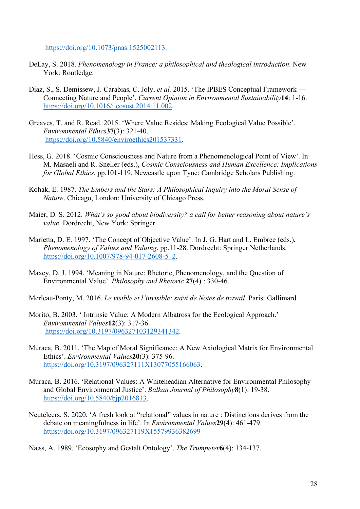https://doi.org/10.1073/pnas.1525002113.

- DeLay, S. 2018. *Phenomenology in France: a philosophical and theological introduction*. New York: Routledge.
- Díaz, S., S. Demissew, J. Carabias, C. Joly, *et al.* 2015. 'The IPBES Conceptual Framework Connecting Nature and People'. *Current Opinion in Environmental Sustainability***14**: 1-16. https://doi.org/10.1016/j.cosust.2014.11.002.
- Greaves, T. and R. Read. 2015. 'Where Value Resides: Making Ecological Value Possible'. *Environmental Ethics***37**(3): 321-40. https://doi.org/10.5840/enviroethics201537331.
- Hess, G. 2018. 'Cosmic Consciousness and Nature from a Phenomenological Point of View'. In M. Masaeli and R. Sneller (eds.), *Cosmic Consciousness and Human Excellence: Implications for Global Ethics*, pp.101-119. Newcastle upon Tyne: Cambridge Scholars Publishing.
- Kohák, E. 1987. *The Embers and the Stars: A Philosophical Inquiry into the Moral Sense of Nature*. Chicago, London: University of Chicago Press.
- Maier, D. S. 2012. *What's so good about biodiversity? a call for better reasoning about nature's value*. Dordrecht, New York: Springer.
- Marietta, D. E. 1997. 'The Concept of Objective Value'. In J. G. Hart and L. Embree (eds.), *Phenomenology of Values and Valuing*, pp.11-28. Dordrecht: Springer Netherlands. https://doi.org/10.1007/978-94-017-2608-5\_2.
- Maxcy, D. J. 1994. 'Meaning in Nature: Rhetoric, Phenomenology, and the Question of Environmental Value'. *Philosophy and Rhetoric* **27**(4) : 330-46.

Merleau-Ponty, M. 2016. *Le visible et l'invisible: suivi de Notes de travail*. Paris: Gallimard.

- Morito, B. 2003. ' Intrinsic Value: A Modern Albatross for the Ecological Approach.' *Environmental Values***12**(3): 317-36. https://doi.org/10.3197/096327103129341342.
- Muraca, B. 2011. 'The Map of Moral Significance: A New Axiological Matrix for Environmental Ethics'. *Environmental Values***20**(3): 375-96. https://doi.org/10.3197/096327111X13077055166063.
- Muraca, B. 2016. 'Relational Values: A Whiteheadian Alternative for Environmental Philosophy and Global Environmental Justice'. *Balkan Journal of Philosophy***8**(1): 19-38. https://doi.org/10.5840/bjp2016813.
- Neuteleers, S. 2020. 'A fresh look at "relational" values in nature : Distinctions derives from the debate on meaningfulness in life'. In *Environmental Values***29**(4): 461-479. https://doi.org/10.3197/096327119X15579936382699

Næss, A. 1989. 'Ecosophy and Gestalt Ontology'. *The Trumpeter***6**(4): 134-137.